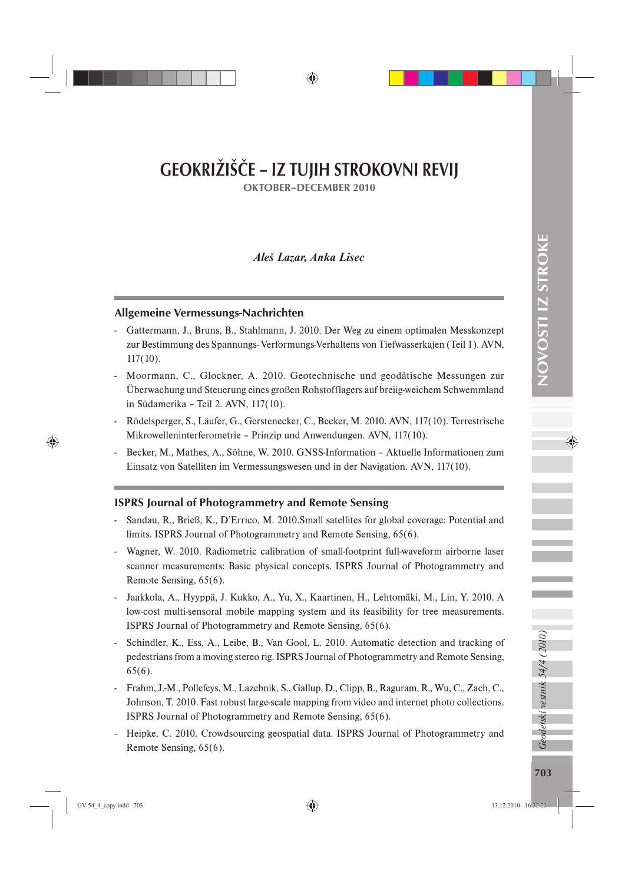# GEOKRIŽIŠČE – IZ TUJIH STROKOVNI REVIJ

OKTOBER–DECEMBER 2010

# *Aleš Lazar, Anka Lisec*

## Allgemeine Vermessungs-Nachrichten

- Gattermann, J., Bruns, B., Stahlmann, J. 2010. Der Weg zu einem optimalen Messkonzept zur Bestimmung des Spannungs- Verformungs-Verhaltens von Tiefwasserkajen (Teil 1). AVN, 117(10).
- Moormann, C., Glockner, A. 2010. Geotechnische und geodätische Messungen zur Überwachung und Steuerung eines großen Rohstofflagers auf breiig-weichem Schwemmland in Südamerika – Teil 2. AVN, 117(10).
- Rödelsperger, S., Läufer, G., Gerstenecker, C., Becker, M. 2010. AVN, 117(10). Terrestrische Mikrowelleninterferometrie – Prinzip und Anwendungen. AVN, 117(10).
- Becker, M., Mathes, A., Söhne, W. 2010. GNSS-Information Aktuelle Informationen zum Einsatz von Satelliten im Vermessungswesen und in der Navigation. AVN, 117(10).

# ISPRS Journal of Photogrammetry and Remote Sensing

- Sandau, R., Brieß, K., D'Errico, M. 2010.Small satellites for global coverage: Potential and limits. ISPRS Journal of Photogrammetry and Remote Sensing, 65(6).
- Wagner, W. 2010. Radiometric calibration of small-footprint full-waveform airborne laser scanner measurements: Basic physical concepts. ISPRS Journal of Photogrammetry and Remote Sensing, 65(6).
- Jaakkola, A., Hyyppä, J. Kukko, A., Yu, X., Kaartinen, H., Lehtomäki, M., Lin, Y. 2010. A low-cost multi-sensoral mobile mapping system and its feasibility for tree measurements. ISPRS Journal of Photogrammetry and Remote Sensing, 65(6).
- Schindler, K., Ess, A., Leibe, B., Van Gool, L. 2010. Automatic detection and tracking of pedestrians from a moving stereo rig. ISPRS Journal of Photogrammetry and Remote Sensing, 65(6).
- Frahm, J.-M., Pollefeys, M., Lazebnik, S., Gallup, D., Clipp, B., Raguram, R., Wu, C., Zach, C., Johnson, T. 2010. Fast robust large-scale mapping from video and internet photo collections. ISPRS Journal of Photogrammetry and Remote Sensing, 65(6).
- Heipke, C. 2010. Crowdsourcing geospatial data. ISPRS Journal of Photogrammetry and Remote Sensing, 65(6).

Geodetski vestnik 54/4 (2010)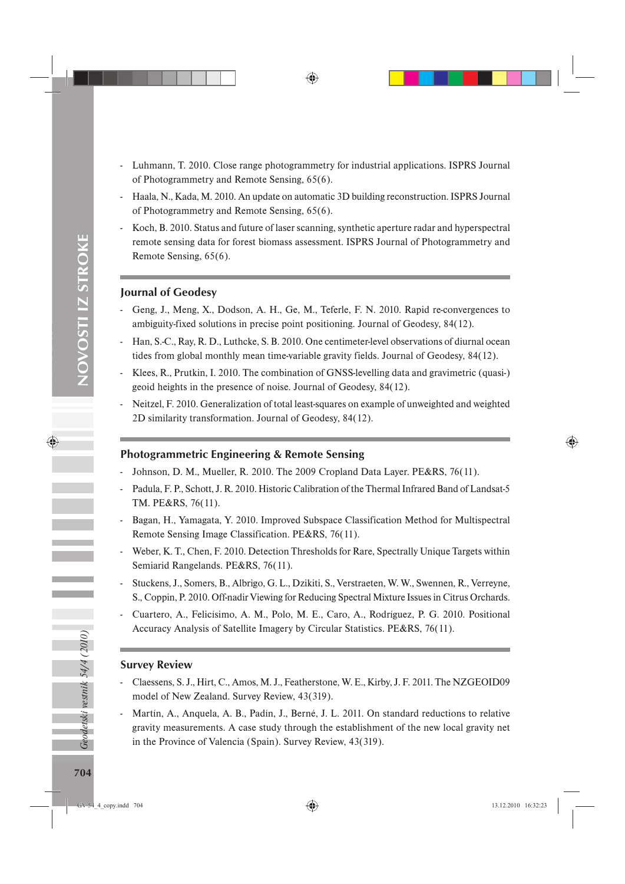- Luhmann, T. 2010. Close range photogrammetry for industrial applications. ISPRS Journal of Photogrammetry and Remote Sensing, 65(6).
- Haala, N., Kada, M. 2010. An update on automatic 3D building reconstruction. ISPRS Journal of Photogrammetry and Remote Sensing, 65(6).
- Koch, B. 2010. Status and future of laser scanning, synthetic aperture radar and hyperspectral remote sensing data for forest biomass assessment. ISPRS Journal of Photogrammetry and Remote Sensing, 65(6).

#### Journal of Geodesy

- Geng, J., Meng, X., Dodson, A. H., Ge, M., Teferle, F. N. 2010. Rapid re-convergences to ambiguity-fixed solutions in precise point positioning. Journal of Geodesy, 84(12).
- Han, S.-C., Ray, R. D., Luthcke, S. B. 2010. One centimeter-level observations of diurnal ocean tides from global monthly mean time-variable gravity fields. Journal of Geodesy, 84(12).
- Klees, R., Prutkin, I. 2010. The combination of GNSS-levelling data and gravimetric (quasi-) geoid heights in the presence of noise. Journal of Geodesy, 84(12).
- Neitzel, F. 2010. Generalization of total least-squares on example of unweighted and weighted 2D similarity transformation. Journal of Geodesy, 84(12).

## Photogrammetric Engineering & Remote Sensing

- Johnson, D. M., Mueller, R. 2010. The 2009 Cropland Data Layer. PE&RS, 76(11).
- Padula, F. P., Schott, J. R. 2010. Historic Calibration of the Thermal Infrared Band of Landsat-5 TM. PE&RS, 76(11).
- Bagan, H., Yamagata, Y. 2010. Improved Subspace Classification Method for Multispectral Remote Sensing Image Classification. PE&RS, 76(11).
- Weber, K. T., Chen, F. 2010. Detection Thresholds for Rare, Spectrally Unique Targets within Semiarid Rangelands. PE&RS, 76(11).
- Stuckens, J., Somers, B., Albrigo, G. L., Dzikiti, S., Verstraeten, W. W., Swennen, R., Verreyne, S., Coppin, P. 2010. Off-nadir Viewing for Reducing Spectral Mixture Issues in Citrus Orchards.
- Cuartero, A., Felicísimo, A. M., Polo, M. E., Caro, A., Rodríguez, P. G. 2010. Positional Accuracy Analysis of Satellite Imagery by Circular Statistics. PE&RS, 76(11).

#### Survey Review

- Claessens, S. J., Hirt, C., Amos, M. J., Featherstone, W. E., Kirby, J. F. 2011. The NZGEOID09 model of New Zealand. Survey Review, 43(319).
- Martín, A., Anquela, A. B., Padín, J., Berné, J. L. 2011. On standard reductions to relative gravity measurements. A case study through the establishment of the new local gravity net in the Province of Valencia (Spain). Survey Review, 43(319).

Geodetski vestnik 54/4 (2010)